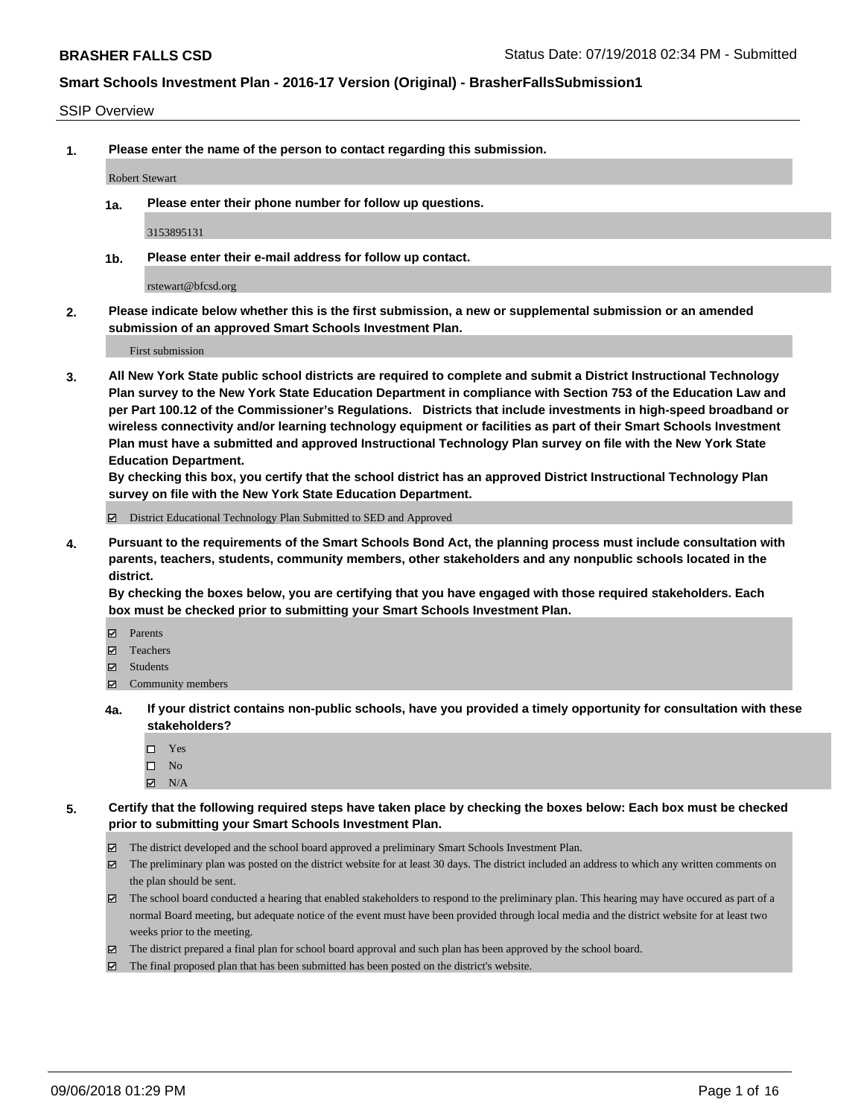#### SSIP Overview

**1. Please enter the name of the person to contact regarding this submission.**

#### Robert Stewart

**1a. Please enter their phone number for follow up questions.**

3153895131

**1b. Please enter their e-mail address for follow up contact.**

rstewart@bfcsd.org

**2. Please indicate below whether this is the first submission, a new or supplemental submission or an amended submission of an approved Smart Schools Investment Plan.**

First submission

**3. All New York State public school districts are required to complete and submit a District Instructional Technology Plan survey to the New York State Education Department in compliance with Section 753 of the Education Law and per Part 100.12 of the Commissioner's Regulations. Districts that include investments in high-speed broadband or wireless connectivity and/or learning technology equipment or facilities as part of their Smart Schools Investment Plan must have a submitted and approved Instructional Technology Plan survey on file with the New York State Education Department.** 

**By checking this box, you certify that the school district has an approved District Instructional Technology Plan survey on file with the New York State Education Department.**

District Educational Technology Plan Submitted to SED and Approved

**4. Pursuant to the requirements of the Smart Schools Bond Act, the planning process must include consultation with parents, teachers, students, community members, other stakeholders and any nonpublic schools located in the district.** 

**By checking the boxes below, you are certifying that you have engaged with those required stakeholders. Each box must be checked prior to submitting your Smart Schools Investment Plan.**

- **Parents**
- Teachers
- **☑** Students
- **☑** Community members
- **4a. If your district contains non-public schools, have you provided a timely opportunity for consultation with these stakeholders?**
	- □ Yes
	- $\square$  No
	- $\boxtimes$  N/A
- **5. Certify that the following required steps have taken place by checking the boxes below: Each box must be checked prior to submitting your Smart Schools Investment Plan.**
	- The district developed and the school board approved a preliminary Smart Schools Investment Plan.
	- $\boxtimes$  The preliminary plan was posted on the district website for at least 30 days. The district included an address to which any written comments on the plan should be sent.
	- The school board conducted a hearing that enabled stakeholders to respond to the preliminary plan. This hearing may have occured as part of a normal Board meeting, but adequate notice of the event must have been provided through local media and the district website for at least two weeks prior to the meeting.
	- The district prepared a final plan for school board approval and such plan has been approved by the school board.
	- The final proposed plan that has been submitted has been posted on the district's website.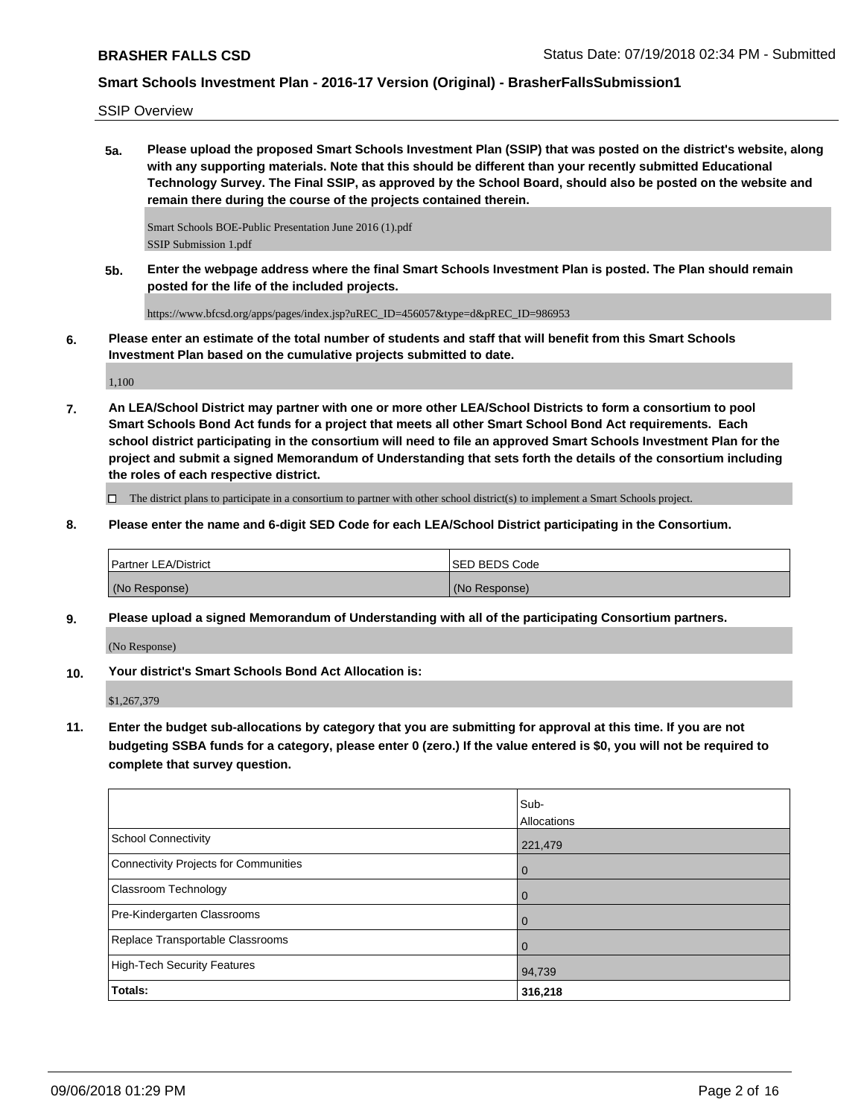SSIP Overview

**5a. Please upload the proposed Smart Schools Investment Plan (SSIP) that was posted on the district's website, along with any supporting materials. Note that this should be different than your recently submitted Educational Technology Survey. The Final SSIP, as approved by the School Board, should also be posted on the website and remain there during the course of the projects contained therein.**

Smart Schools BOE-Public Presentation June 2016 (1).pdf SSIP Submission 1.pdf

**5b. Enter the webpage address where the final Smart Schools Investment Plan is posted. The Plan should remain posted for the life of the included projects.**

https://www.bfcsd.org/apps/pages/index.jsp?uREC\_ID=456057&type=d&pREC\_ID=986953

**6. Please enter an estimate of the total number of students and staff that will benefit from this Smart Schools Investment Plan based on the cumulative projects submitted to date.**

1,100

**7. An LEA/School District may partner with one or more other LEA/School Districts to form a consortium to pool Smart Schools Bond Act funds for a project that meets all other Smart School Bond Act requirements. Each school district participating in the consortium will need to file an approved Smart Schools Investment Plan for the project and submit a signed Memorandum of Understanding that sets forth the details of the consortium including the roles of each respective district.**

 $\Box$  The district plans to participate in a consortium to partner with other school district(s) to implement a Smart Schools project.

**8. Please enter the name and 6-digit SED Code for each LEA/School District participating in the Consortium.**

| <b>Partner LEA/District</b> | ISED BEDS Code |
|-----------------------------|----------------|
| (No Response)               | (No Response)  |

**9. Please upload a signed Memorandum of Understanding with all of the participating Consortium partners.**

(No Response)

**10. Your district's Smart Schools Bond Act Allocation is:**

\$1,267,379

**11. Enter the budget sub-allocations by category that you are submitting for approval at this time. If you are not budgeting SSBA funds for a category, please enter 0 (zero.) If the value entered is \$0, you will not be required to complete that survey question.**

|                                              | Sub-<br>Allocations |
|----------------------------------------------|---------------------|
| <b>School Connectivity</b>                   | 221,479             |
| <b>Connectivity Projects for Communities</b> | 0                   |
| <b>Classroom Technology</b>                  | 0                   |
| Pre-Kindergarten Classrooms                  | 0                   |
| Replace Transportable Classrooms             | 0                   |
| <b>High-Tech Security Features</b>           | 94,739              |
| Totals:                                      | 316,218             |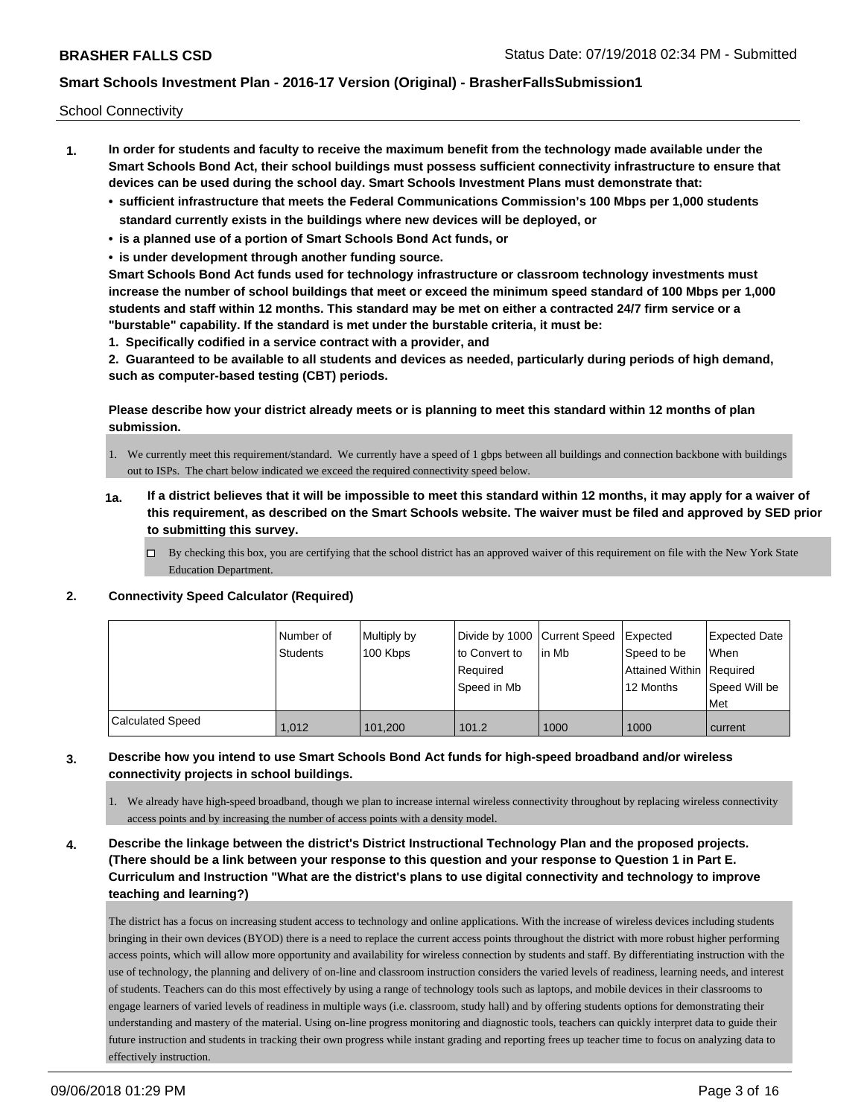School Connectivity

- **1. In order for students and faculty to receive the maximum benefit from the technology made available under the Smart Schools Bond Act, their school buildings must possess sufficient connectivity infrastructure to ensure that devices can be used during the school day. Smart Schools Investment Plans must demonstrate that:**
	- **• sufficient infrastructure that meets the Federal Communications Commission's 100 Mbps per 1,000 students standard currently exists in the buildings where new devices will be deployed, or**
	- **• is a planned use of a portion of Smart Schools Bond Act funds, or**
	- **• is under development through another funding source.**

**Smart Schools Bond Act funds used for technology infrastructure or classroom technology investments must increase the number of school buildings that meet or exceed the minimum speed standard of 100 Mbps per 1,000 students and staff within 12 months. This standard may be met on either a contracted 24/7 firm service or a "burstable" capability. If the standard is met under the burstable criteria, it must be:**

**1. Specifically codified in a service contract with a provider, and**

**2. Guaranteed to be available to all students and devices as needed, particularly during periods of high demand, such as computer-based testing (CBT) periods.**

**Please describe how your district already meets or is planning to meet this standard within 12 months of plan submission.**

- 1. We currently meet this requirement/standard. We currently have a speed of 1 gbps between all buildings and connection backbone with buildings out to ISPs. The chart below indicated we exceed the required connectivity speed below.
- **1a. If a district believes that it will be impossible to meet this standard within 12 months, it may apply for a waiver of this requirement, as described on the Smart Schools website. The waiver must be filed and approved by SED prior to submitting this survey.**
	- $\Box$  By checking this box, you are certifying that the school district has an approved waiver of this requirement on file with the New York State Education Department.

### **2. Connectivity Speed Calculator (Required)**

|                  | l Number of<br><b>Students</b> | Multiply by<br>100 Kbps | Divide by 1000 Current Speed<br>to Convert to<br>Required<br>Speed in Mb | l in Mb | Expected<br>Speed to be<br>Attained Within Required<br>12 Months | <b>Expected Date</b><br>When<br>Speed Will be<br><b>Met</b> |
|------------------|--------------------------------|-------------------------|--------------------------------------------------------------------------|---------|------------------------------------------------------------------|-------------------------------------------------------------|
| Calculated Speed | 1,012                          | 101.200                 | 101.2                                                                    | 1000    | 1000                                                             | current                                                     |

### **3. Describe how you intend to use Smart Schools Bond Act funds for high-speed broadband and/or wireless connectivity projects in school buildings.**

1. We already have high-speed broadband, though we plan to increase internal wireless connectivity throughout by replacing wireless connectivity access points and by increasing the number of access points with a density model.

**4. Describe the linkage between the district's District Instructional Technology Plan and the proposed projects. (There should be a link between your response to this question and your response to Question 1 in Part E. Curriculum and Instruction "What are the district's plans to use digital connectivity and technology to improve teaching and learning?)**

The district has a focus on increasing student access to technology and online applications. With the increase of wireless devices including students bringing in their own devices (BYOD) there is a need to replace the current access points throughout the district with more robust higher performing access points, which will allow more opportunity and availability for wireless connection by students and staff. By differentiating instruction with the use of technology, the planning and delivery of on-line and classroom instruction considers the varied levels of readiness, learning needs, and interest of students. Teachers can do this most effectively by using a range of technology tools such as laptops, and mobile devices in their classrooms to engage learners of varied levels of readiness in multiple ways (i.e. classroom, study hall) and by offering students options for demonstrating their understanding and mastery of the material. Using on-line progress monitoring and diagnostic tools, teachers can quickly interpret data to guide their future instruction and students in tracking their own progress while instant grading and reporting frees up teacher time to focus on analyzing data to effectively instruction.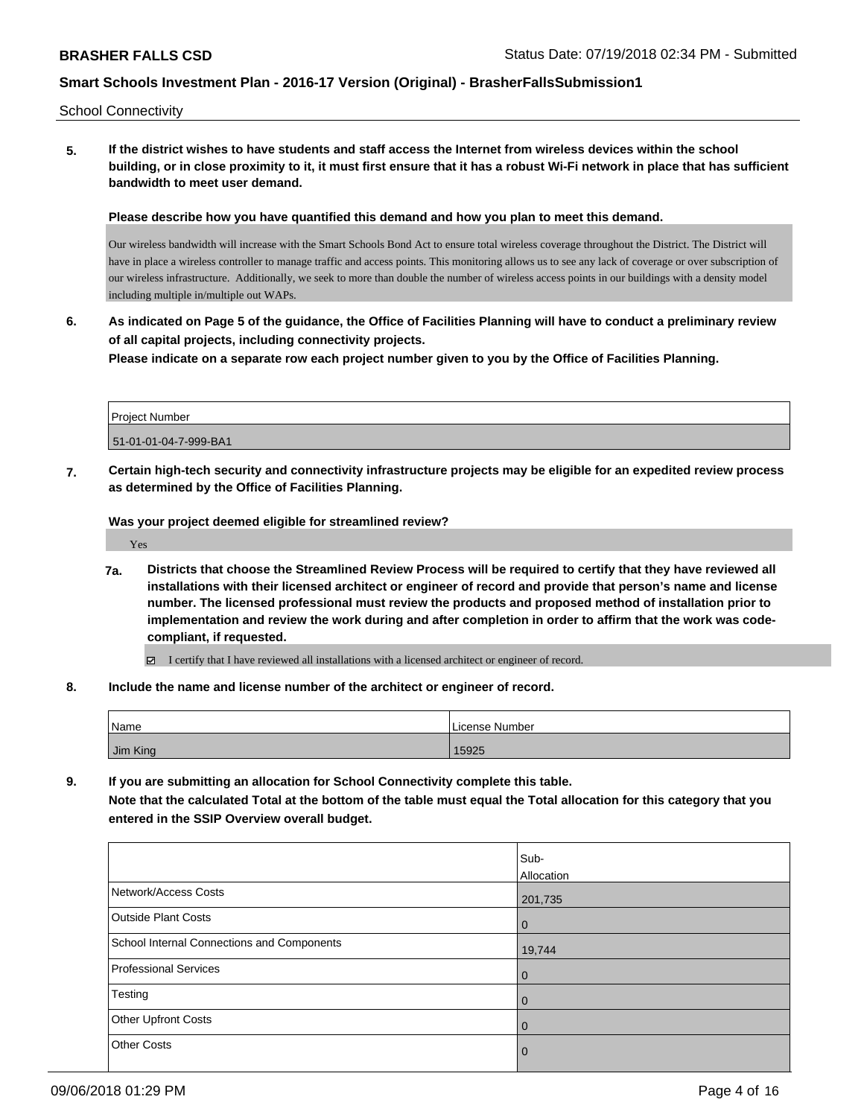School Connectivity

**5. If the district wishes to have students and staff access the Internet from wireless devices within the school building, or in close proximity to it, it must first ensure that it has a robust Wi-Fi network in place that has sufficient bandwidth to meet user demand.**

**Please describe how you have quantified this demand and how you plan to meet this demand.**

Our wireless bandwidth will increase with the Smart Schools Bond Act to ensure total wireless coverage throughout the District. The District will have in place a wireless controller to manage traffic and access points. This monitoring allows us to see any lack of coverage or over subscription of our wireless infrastructure. Additionally, we seek to more than double the number of wireless access points in our buildings with a density model including multiple in/multiple out WAPs.

**6. As indicated on Page 5 of the guidance, the Office of Facilities Planning will have to conduct a preliminary review of all capital projects, including connectivity projects.**

**Please indicate on a separate row each project number given to you by the Office of Facilities Planning.**

| <b>Project Number</b> |  |
|-----------------------|--|
| 51-01-01-04-7-999-BA1 |  |

**7. Certain high-tech security and connectivity infrastructure projects may be eligible for an expedited review process as determined by the Office of Facilities Planning.**

**Was your project deemed eligible for streamlined review?**

Yes

**7a. Districts that choose the Streamlined Review Process will be required to certify that they have reviewed all installations with their licensed architect or engineer of record and provide that person's name and license number. The licensed professional must review the products and proposed method of installation prior to implementation and review the work during and after completion in order to affirm that the work was codecompliant, if requested.**

 $\boxdot$  I certify that I have reviewed all installations with a licensed architect or engineer of record.

**8. Include the name and license number of the architect or engineer of record.**

| <b>Name</b> | , License Number |
|-------------|------------------|
| Jim King    | 5925             |

**9. If you are submitting an allocation for School Connectivity complete this table.**

**Note that the calculated Total at the bottom of the table must equal the Total allocation for this category that you entered in the SSIP Overview overall budget.** 

|                                            | Sub-           |
|--------------------------------------------|----------------|
|                                            | Allocation     |
| Network/Access Costs                       | 201,735        |
| <b>Outside Plant Costs</b>                 | $\overline{0}$ |
| School Internal Connections and Components | 19,744         |
| <b>Professional Services</b>               | $\overline{0}$ |
| Testing                                    | $\overline{0}$ |
| <b>Other Upfront Costs</b>                 | $\overline{0}$ |
| <b>Other Costs</b>                         | $\mathbf 0$    |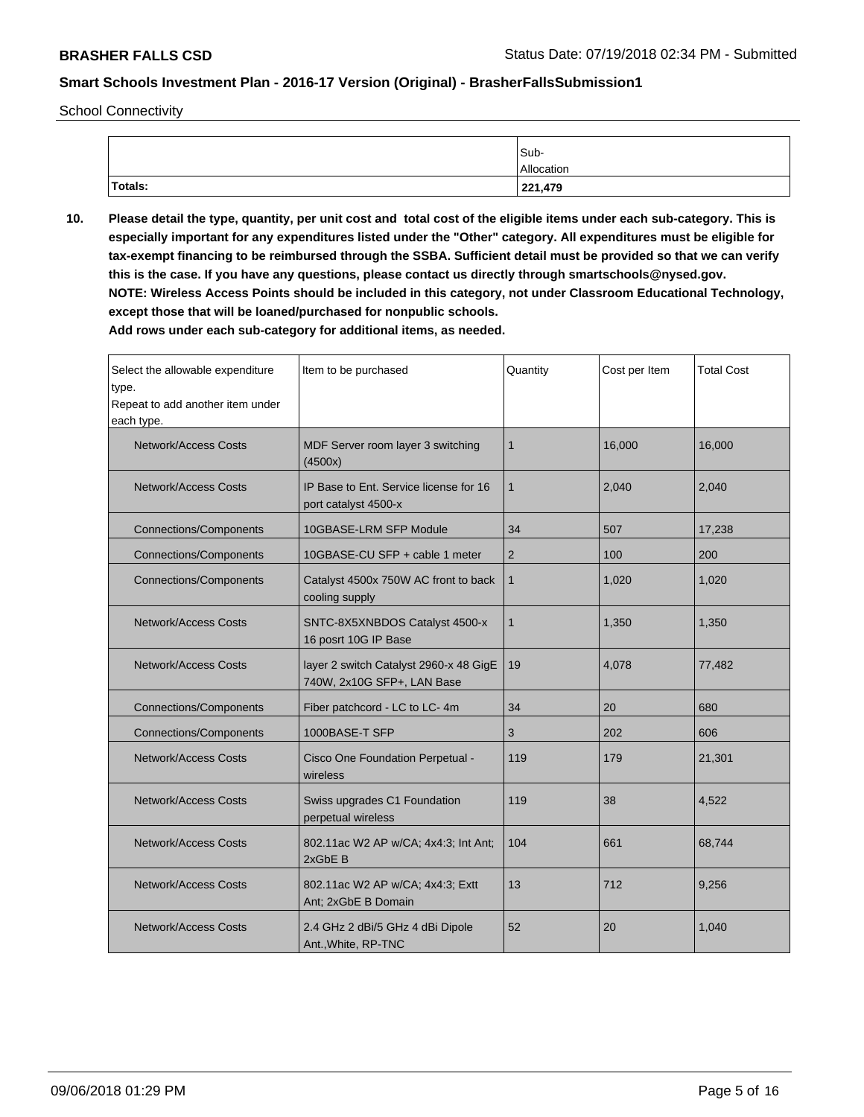School Connectivity

|         | Sub-       |
|---------|------------|
|         | Allocation |
| Totals: | 221,479    |

**10. Please detail the type, quantity, per unit cost and total cost of the eligible items under each sub-category. This is especially important for any expenditures listed under the "Other" category. All expenditures must be eligible for tax-exempt financing to be reimbursed through the SSBA. Sufficient detail must be provided so that we can verify this is the case. If you have any questions, please contact us directly through smartschools@nysed.gov. NOTE: Wireless Access Points should be included in this category, not under Classroom Educational Technology, except those that will be loaned/purchased for nonpublic schools.**

| Select the allowable expenditure<br>type.<br>Repeat to add another item under<br>each type. | Item to be purchased                                                 | Quantity       | Cost per Item | <b>Total Cost</b> |
|---------------------------------------------------------------------------------------------|----------------------------------------------------------------------|----------------|---------------|-------------------|
| <b>Network/Access Costs</b>                                                                 | MDF Server room layer 3 switching<br>(4500x)                         | $\mathbf{1}$   | 16,000        | 16,000            |
| <b>Network/Access Costs</b>                                                                 | IP Base to Ent. Service license for 16<br>port catalyst 4500-x       | $\mathbf{1}$   | 2,040         | 2,040             |
| <b>Connections/Components</b>                                                               | 10GBASE-LRM SFP Module                                               | 34             | 507           | 17,238            |
| <b>Connections/Components</b>                                                               | 10GBASE-CU SFP + cable 1 meter                                       | $\overline{2}$ | 100           | 200               |
| <b>Connections/Components</b>                                                               | Catalyst 4500x 750W AC front to back<br>cooling supply               | $\mathbf{1}$   | 1,020         | 1,020             |
| <b>Network/Access Costs</b>                                                                 | SNTC-8X5XNBDOS Catalyst 4500-x<br>1<br>16 posrt 10G IP Base          |                | 1,350         | 1,350             |
| <b>Network/Access Costs</b>                                                                 | layer 2 switch Catalyst 2960-x 48 GigE<br>740W, 2x10G SFP+, LAN Base | 19             | 4,078         | 77,482            |
| <b>Connections/Components</b>                                                               | Fiber patchcord - LC to LC-4m                                        | 34             | 20            | 680               |
| <b>Connections/Components</b>                                                               | 1000BASE-T SFP<br>3                                                  |                | 202           | 606               |
| Network/Access Costs                                                                        | Cisco One Foundation Perpetual -<br>wireless                         |                | 179           | 21,301            |
| <b>Network/Access Costs</b>                                                                 | Swiss upgrades C1 Foundation<br>perpetual wireless                   |                | 38            | 4,522             |
| <b>Network/Access Costs</b>                                                                 | 802.11ac W2 AP w/CA; 4x4:3; Int Ant;<br>2xGbE B                      | 104            | 661           | 68,744            |
| <b>Network/Access Costs</b>                                                                 | 802.11ac W2 AP w/CA; 4x4:3; Extt<br>Ant; 2xGbE B Domain              | 13             | 712           | 9,256             |
| <b>Network/Access Costs</b><br>2.4 GHz 2 dBi/5 GHz 4 dBi Dipole<br>Ant., White, RP-TNC      |                                                                      | 52             | 20            | 1,040             |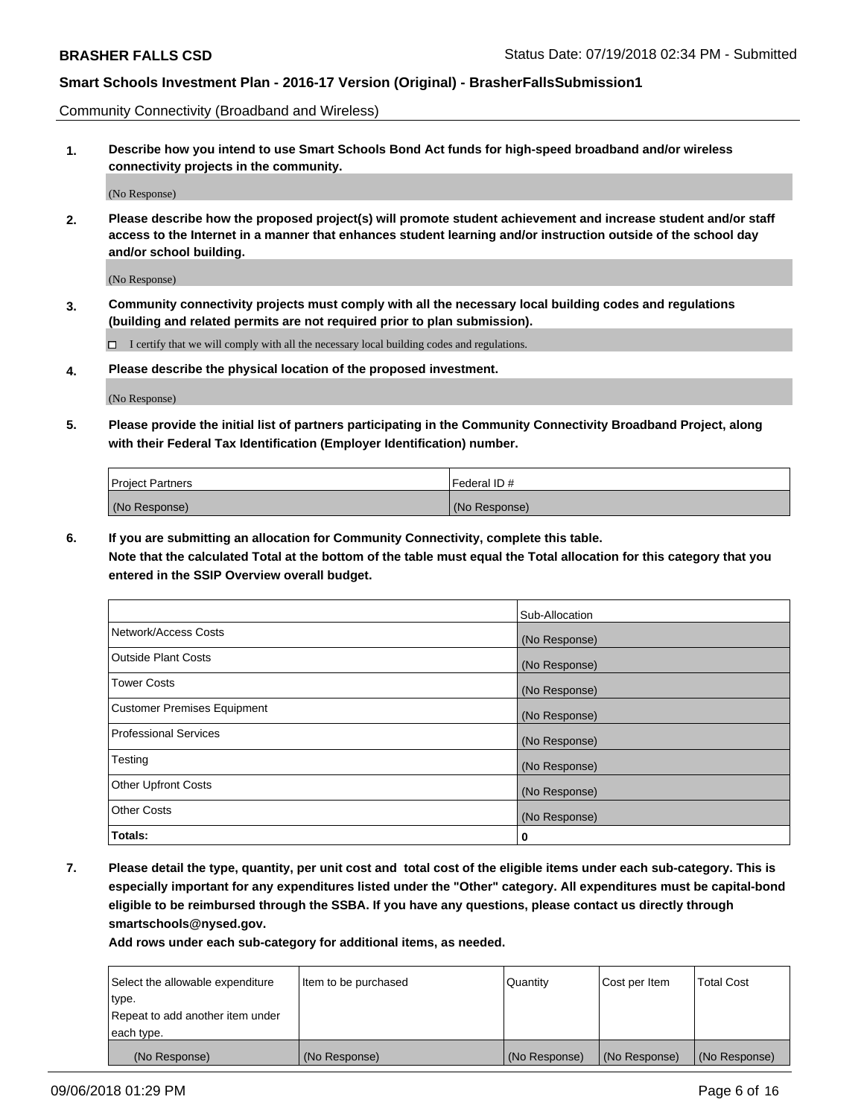Community Connectivity (Broadband and Wireless)

**1. Describe how you intend to use Smart Schools Bond Act funds for high-speed broadband and/or wireless connectivity projects in the community.**

(No Response)

**2. Please describe how the proposed project(s) will promote student achievement and increase student and/or staff access to the Internet in a manner that enhances student learning and/or instruction outside of the school day and/or school building.**

(No Response)

**3. Community connectivity projects must comply with all the necessary local building codes and regulations (building and related permits are not required prior to plan submission).**

 $\Box$  I certify that we will comply with all the necessary local building codes and regulations.

**4. Please describe the physical location of the proposed investment.**

(No Response)

**5. Please provide the initial list of partners participating in the Community Connectivity Broadband Project, along with their Federal Tax Identification (Employer Identification) number.**

| <b>Project Partners</b> | l Federal ID # |
|-------------------------|----------------|
| (No Response)           | (No Response)  |

**6. If you are submitting an allocation for Community Connectivity, complete this table.**

**Note that the calculated Total at the bottom of the table must equal the Total allocation for this category that you entered in the SSIP Overview overall budget.**

|                                    | Sub-Allocation |
|------------------------------------|----------------|
| Network/Access Costs               | (No Response)  |
| <b>Outside Plant Costs</b>         | (No Response)  |
| <b>Tower Costs</b>                 | (No Response)  |
| <b>Customer Premises Equipment</b> | (No Response)  |
| <b>Professional Services</b>       | (No Response)  |
| Testing                            | (No Response)  |
| <b>Other Upfront Costs</b>         | (No Response)  |
| <b>Other Costs</b>                 | (No Response)  |
| Totals:                            | 0              |

**7. Please detail the type, quantity, per unit cost and total cost of the eligible items under each sub-category. This is especially important for any expenditures listed under the "Other" category. All expenditures must be capital-bond eligible to be reimbursed through the SSBA. If you have any questions, please contact us directly through smartschools@nysed.gov.**

| Select the allowable expenditure | Item to be purchased | Quantity      | Cost per Item | <b>Total Cost</b> |
|----------------------------------|----------------------|---------------|---------------|-------------------|
| type.                            |                      |               |               |                   |
| Repeat to add another item under |                      |               |               |                   |
| each type.                       |                      |               |               |                   |
| (No Response)                    | (No Response)        | (No Response) | (No Response) | (No Response)     |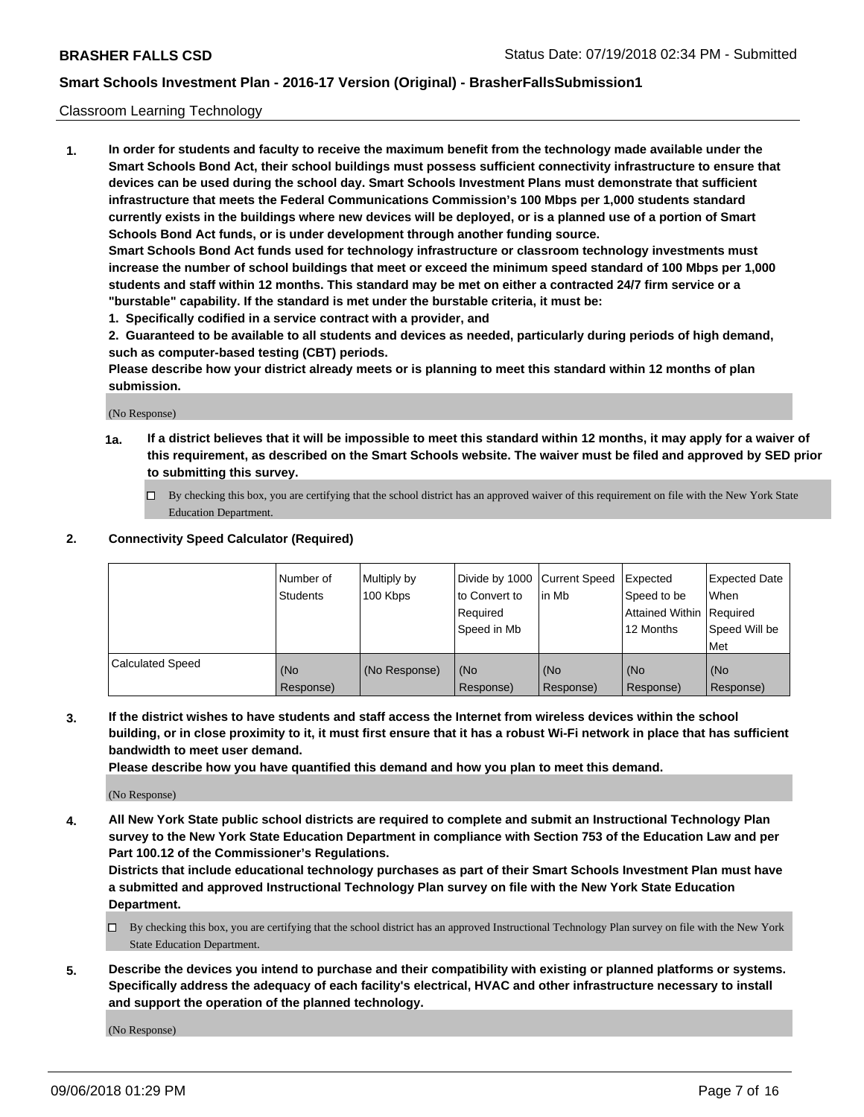#### Classroom Learning Technology

**1. In order for students and faculty to receive the maximum benefit from the technology made available under the Smart Schools Bond Act, their school buildings must possess sufficient connectivity infrastructure to ensure that devices can be used during the school day. Smart Schools Investment Plans must demonstrate that sufficient infrastructure that meets the Federal Communications Commission's 100 Mbps per 1,000 students standard currently exists in the buildings where new devices will be deployed, or is a planned use of a portion of Smart Schools Bond Act funds, or is under development through another funding source. Smart Schools Bond Act funds used for technology infrastructure or classroom technology investments must increase the number of school buildings that meet or exceed the minimum speed standard of 100 Mbps per 1,000 students and staff within 12 months. This standard may be met on either a contracted 24/7 firm service or a**

**"burstable" capability. If the standard is met under the burstable criteria, it must be:**

**1. Specifically codified in a service contract with a provider, and**

**2. Guaranteed to be available to all students and devices as needed, particularly during periods of high demand, such as computer-based testing (CBT) periods.**

**Please describe how your district already meets or is planning to meet this standard within 12 months of plan submission.**

(No Response)

- **1a. If a district believes that it will be impossible to meet this standard within 12 months, it may apply for a waiver of this requirement, as described on the Smart Schools website. The waiver must be filed and approved by SED prior to submitting this survey.**
	- By checking this box, you are certifying that the school district has an approved waiver of this requirement on file with the New York State Education Department.

#### **2. Connectivity Speed Calculator (Required)**

|                         | l Number of<br>Students | Multiply by<br>100 Kbps | to Convert to<br>Required<br>Speed in Mb | Divide by 1000 Current Speed Expected<br>lin Mb | Speed to be<br>Attained Within Required<br>12 Months | <b>Expected Date</b><br>When<br>Speed Will be<br>Met |
|-------------------------|-------------------------|-------------------------|------------------------------------------|-------------------------------------------------|------------------------------------------------------|------------------------------------------------------|
| <b>Calculated Speed</b> | (No<br>Response)        | (No Response)           | (No<br>Response)                         | (No<br>Response)                                | (No<br>Response)                                     | (No<br>Response)                                     |

**3. If the district wishes to have students and staff access the Internet from wireless devices within the school building, or in close proximity to it, it must first ensure that it has a robust Wi-Fi network in place that has sufficient bandwidth to meet user demand.**

**Please describe how you have quantified this demand and how you plan to meet this demand.**

(No Response)

**4. All New York State public school districts are required to complete and submit an Instructional Technology Plan survey to the New York State Education Department in compliance with Section 753 of the Education Law and per Part 100.12 of the Commissioner's Regulations.**

**Districts that include educational technology purchases as part of their Smart Schools Investment Plan must have a submitted and approved Instructional Technology Plan survey on file with the New York State Education Department.**

- $\Box$  By checking this box, you are certifying that the school district has an approved Instructional Technology Plan survey on file with the New York State Education Department.
- **5. Describe the devices you intend to purchase and their compatibility with existing or planned platforms or systems. Specifically address the adequacy of each facility's electrical, HVAC and other infrastructure necessary to install and support the operation of the planned technology.**

(No Response)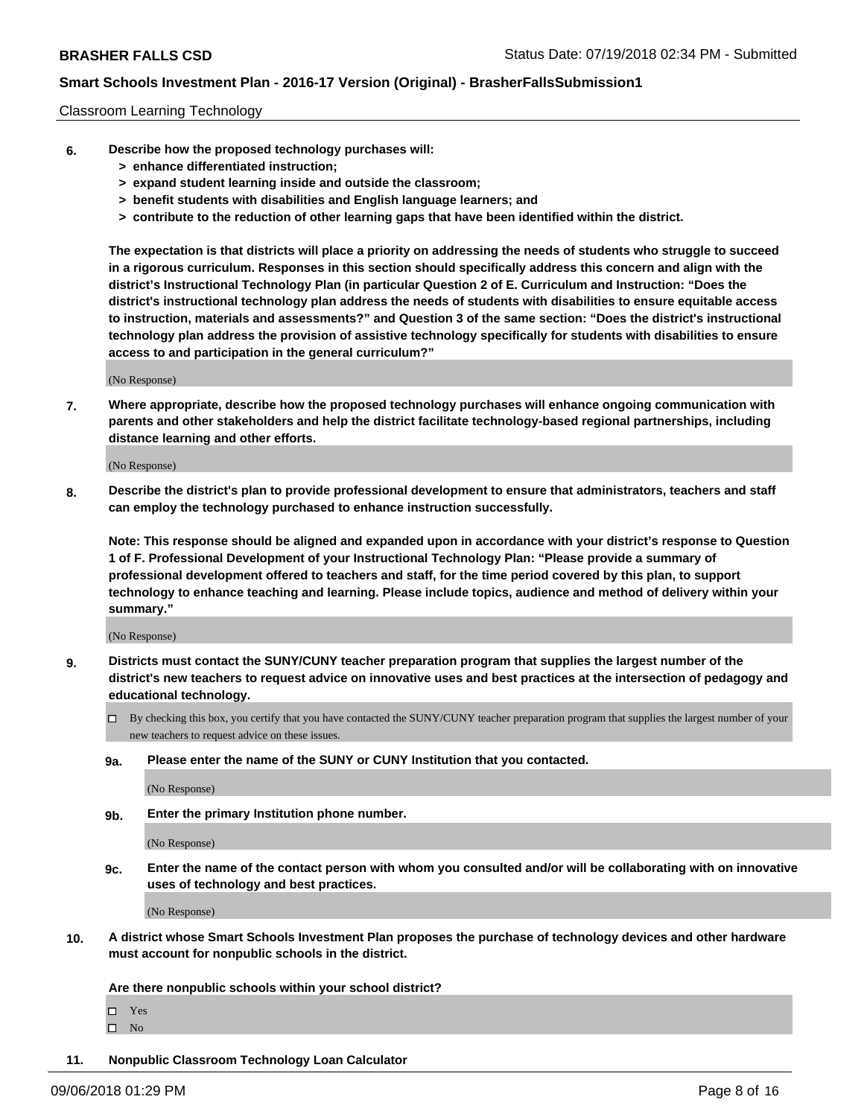#### Classroom Learning Technology

- **6. Describe how the proposed technology purchases will:**
	- **> enhance differentiated instruction;**
	- **> expand student learning inside and outside the classroom;**
	- **> benefit students with disabilities and English language learners; and**
	- **> contribute to the reduction of other learning gaps that have been identified within the district.**

**The expectation is that districts will place a priority on addressing the needs of students who struggle to succeed in a rigorous curriculum. Responses in this section should specifically address this concern and align with the district's Instructional Technology Plan (in particular Question 2 of E. Curriculum and Instruction: "Does the district's instructional technology plan address the needs of students with disabilities to ensure equitable access to instruction, materials and assessments?" and Question 3 of the same section: "Does the district's instructional technology plan address the provision of assistive technology specifically for students with disabilities to ensure access to and participation in the general curriculum?"**

(No Response)

**7. Where appropriate, describe how the proposed technology purchases will enhance ongoing communication with parents and other stakeholders and help the district facilitate technology-based regional partnerships, including distance learning and other efforts.**

(No Response)

**8. Describe the district's plan to provide professional development to ensure that administrators, teachers and staff can employ the technology purchased to enhance instruction successfully.**

**Note: This response should be aligned and expanded upon in accordance with your district's response to Question 1 of F. Professional Development of your Instructional Technology Plan: "Please provide a summary of professional development offered to teachers and staff, for the time period covered by this plan, to support technology to enhance teaching and learning. Please include topics, audience and method of delivery within your summary."**

(No Response)

- **9. Districts must contact the SUNY/CUNY teacher preparation program that supplies the largest number of the district's new teachers to request advice on innovative uses and best practices at the intersection of pedagogy and educational technology.**
	- By checking this box, you certify that you have contacted the SUNY/CUNY teacher preparation program that supplies the largest number of your new teachers to request advice on these issues.
	- **9a. Please enter the name of the SUNY or CUNY Institution that you contacted.**

(No Response)

**9b. Enter the primary Institution phone number.**

(No Response)

**9c. Enter the name of the contact person with whom you consulted and/or will be collaborating with on innovative uses of technology and best practices.**

(No Response)

**10. A district whose Smart Schools Investment Plan proposes the purchase of technology devices and other hardware must account for nonpublic schools in the district.**

**Are there nonpublic schools within your school district?**

Yes

 $\square$  No

**11. Nonpublic Classroom Technology Loan Calculator**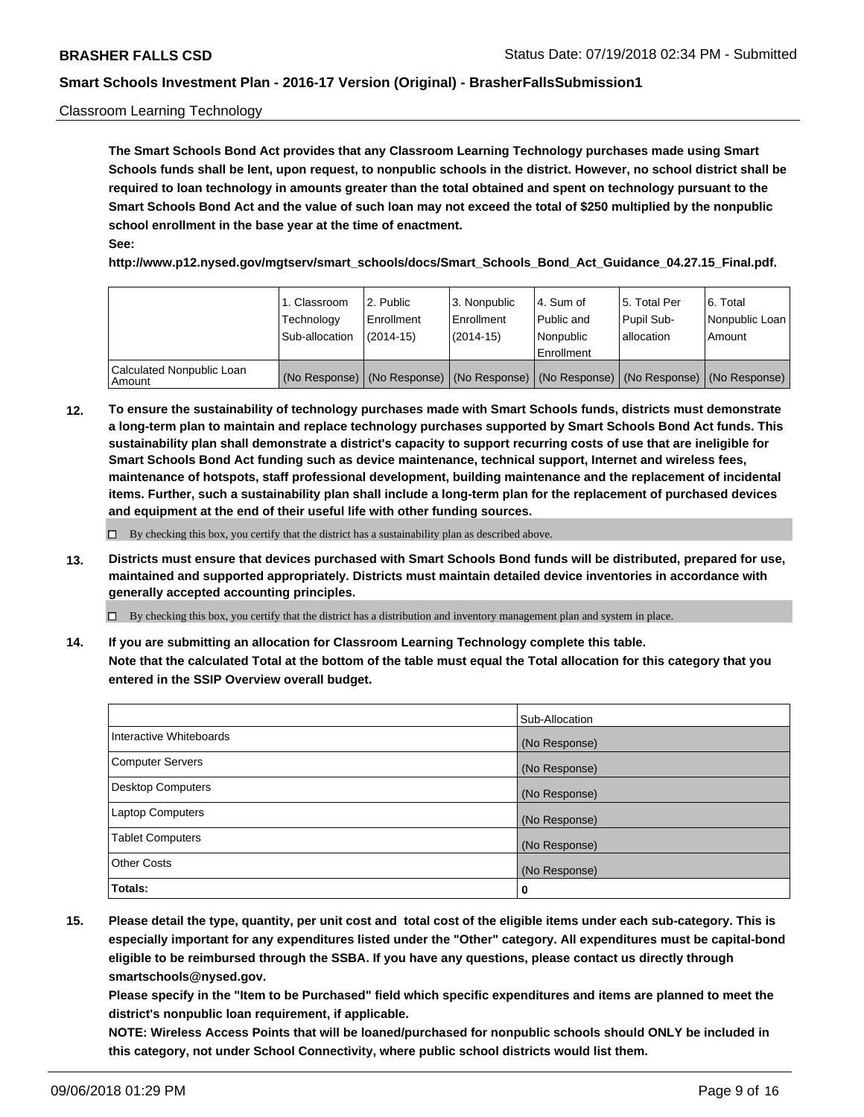#### Classroom Learning Technology

**The Smart Schools Bond Act provides that any Classroom Learning Technology purchases made using Smart Schools funds shall be lent, upon request, to nonpublic schools in the district. However, no school district shall be required to loan technology in amounts greater than the total obtained and spent on technology pursuant to the Smart Schools Bond Act and the value of such loan may not exceed the total of \$250 multiplied by the nonpublic school enrollment in the base year at the time of enactment. See:**

**http://www.p12.nysed.gov/mgtserv/smart\_schools/docs/Smart\_Schools\_Bond\_Act\_Guidance\_04.27.15\_Final.pdf.**

|                                       | 1. Classroom<br>Technology<br>Sub-allocation | l 2. Public<br>Enrollment<br>$(2014-15)$ | 3. Nonpublic<br>l Enrollment<br>$(2014-15)$ | l 4. Sum of<br>Public and<br>l Nonpublic<br>Enrollment                                        | l 5. Total Per<br>Pupil Sub-<br>l allocation | l 6. Total<br>Nonpublic Loan<br>Amount |
|---------------------------------------|----------------------------------------------|------------------------------------------|---------------------------------------------|-----------------------------------------------------------------------------------------------|----------------------------------------------|----------------------------------------|
| Calculated Nonpublic Loan<br>l Amount |                                              |                                          |                                             | (No Response)   (No Response)   (No Response)   (No Response)   (No Response)   (No Response) |                                              |                                        |

**12. To ensure the sustainability of technology purchases made with Smart Schools funds, districts must demonstrate a long-term plan to maintain and replace technology purchases supported by Smart Schools Bond Act funds. This sustainability plan shall demonstrate a district's capacity to support recurring costs of use that are ineligible for Smart Schools Bond Act funding such as device maintenance, technical support, Internet and wireless fees, maintenance of hotspots, staff professional development, building maintenance and the replacement of incidental items. Further, such a sustainability plan shall include a long-term plan for the replacement of purchased devices and equipment at the end of their useful life with other funding sources.**

 $\Box$  By checking this box, you certify that the district has a sustainability plan as described above.

**13. Districts must ensure that devices purchased with Smart Schools Bond funds will be distributed, prepared for use, maintained and supported appropriately. Districts must maintain detailed device inventories in accordance with generally accepted accounting principles.**

By checking this box, you certify that the district has a distribution and inventory management plan and system in place.

**14. If you are submitting an allocation for Classroom Learning Technology complete this table. Note that the calculated Total at the bottom of the table must equal the Total allocation for this category that you entered in the SSIP Overview overall budget.**

|                          | Sub-Allocation |
|--------------------------|----------------|
| Interactive Whiteboards  | (No Response)  |
| <b>Computer Servers</b>  | (No Response)  |
| <b>Desktop Computers</b> | (No Response)  |
| <b>Laptop Computers</b>  | (No Response)  |
| <b>Tablet Computers</b>  | (No Response)  |
| <b>Other Costs</b>       | (No Response)  |
| Totals:                  | 0              |

**15. Please detail the type, quantity, per unit cost and total cost of the eligible items under each sub-category. This is especially important for any expenditures listed under the "Other" category. All expenditures must be capital-bond eligible to be reimbursed through the SSBA. If you have any questions, please contact us directly through smartschools@nysed.gov.**

**Please specify in the "Item to be Purchased" field which specific expenditures and items are planned to meet the district's nonpublic loan requirement, if applicable.**

**NOTE: Wireless Access Points that will be loaned/purchased for nonpublic schools should ONLY be included in this category, not under School Connectivity, where public school districts would list them.**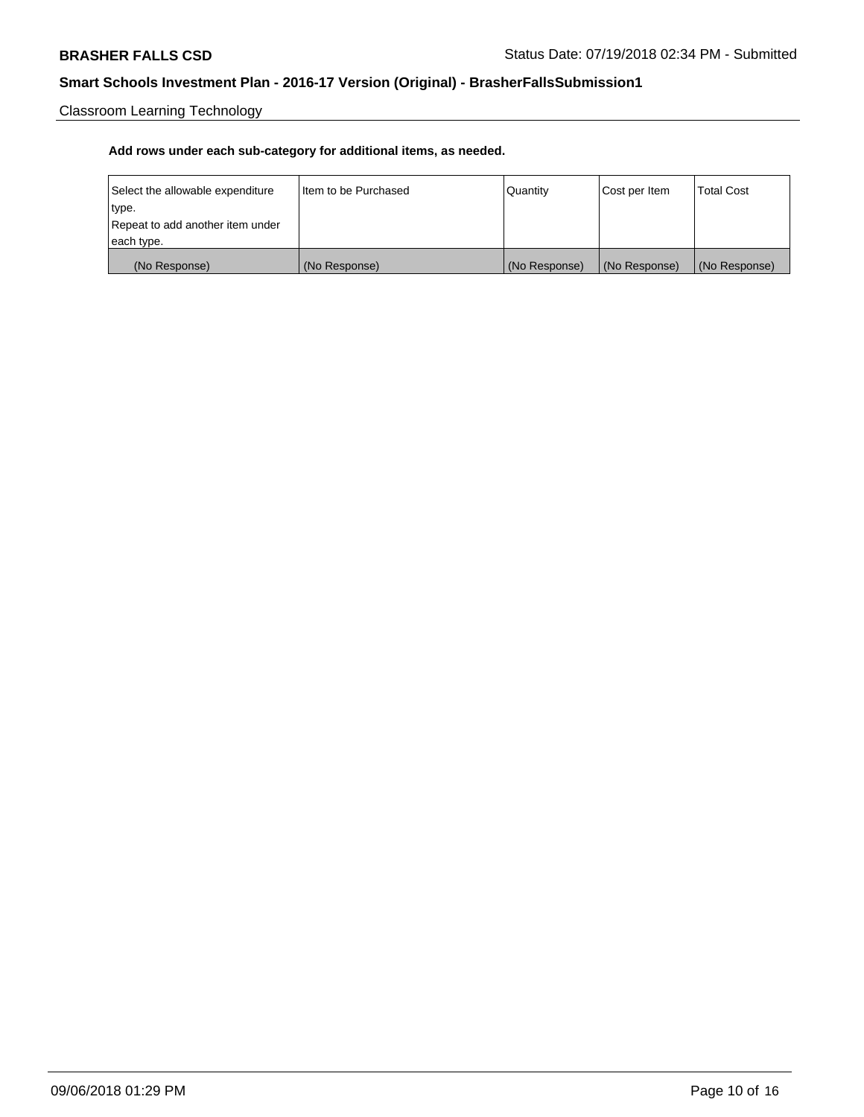Classroom Learning Technology

| Select the allowable expenditure | Iltem to be Purchased | Quantity      | Cost per Item | <b>Total Cost</b> |
|----------------------------------|-----------------------|---------------|---------------|-------------------|
| type.                            |                       |               |               |                   |
| Repeat to add another item under |                       |               |               |                   |
| each type.                       |                       |               |               |                   |
| (No Response)                    | (No Response)         | (No Response) | (No Response) | (No Response)     |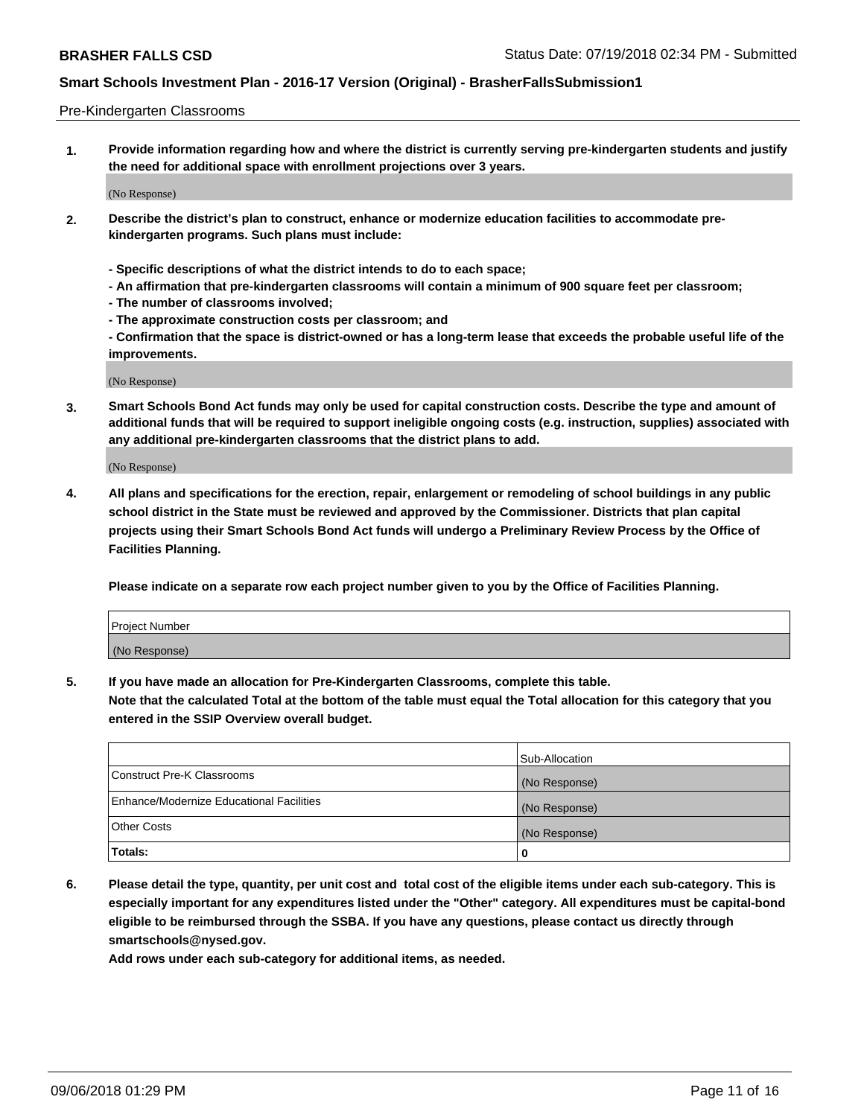#### Pre-Kindergarten Classrooms

**1. Provide information regarding how and where the district is currently serving pre-kindergarten students and justify the need for additional space with enrollment projections over 3 years.**

(No Response)

- **2. Describe the district's plan to construct, enhance or modernize education facilities to accommodate prekindergarten programs. Such plans must include:**
	- **Specific descriptions of what the district intends to do to each space;**
	- **An affirmation that pre-kindergarten classrooms will contain a minimum of 900 square feet per classroom;**
	- **The number of classrooms involved;**
	- **The approximate construction costs per classroom; and**
	- **Confirmation that the space is district-owned or has a long-term lease that exceeds the probable useful life of the improvements.**

(No Response)

**3. Smart Schools Bond Act funds may only be used for capital construction costs. Describe the type and amount of additional funds that will be required to support ineligible ongoing costs (e.g. instruction, supplies) associated with any additional pre-kindergarten classrooms that the district plans to add.**

(No Response)

**4. All plans and specifications for the erection, repair, enlargement or remodeling of school buildings in any public school district in the State must be reviewed and approved by the Commissioner. Districts that plan capital projects using their Smart Schools Bond Act funds will undergo a Preliminary Review Process by the Office of Facilities Planning.**

**Please indicate on a separate row each project number given to you by the Office of Facilities Planning.**

| Project Number |  |
|----------------|--|
| (No Response)  |  |
|                |  |

**5. If you have made an allocation for Pre-Kindergarten Classrooms, complete this table.**

**Note that the calculated Total at the bottom of the table must equal the Total allocation for this category that you entered in the SSIP Overview overall budget.**

|                                          | Sub-Allocation |
|------------------------------------------|----------------|
| Construct Pre-K Classrooms               | (No Response)  |
| Enhance/Modernize Educational Facilities | (No Response)  |
| <b>Other Costs</b>                       | (No Response)  |
| Totals:                                  | 0              |

**6. Please detail the type, quantity, per unit cost and total cost of the eligible items under each sub-category. This is especially important for any expenditures listed under the "Other" category. All expenditures must be capital-bond eligible to be reimbursed through the SSBA. If you have any questions, please contact us directly through smartschools@nysed.gov.**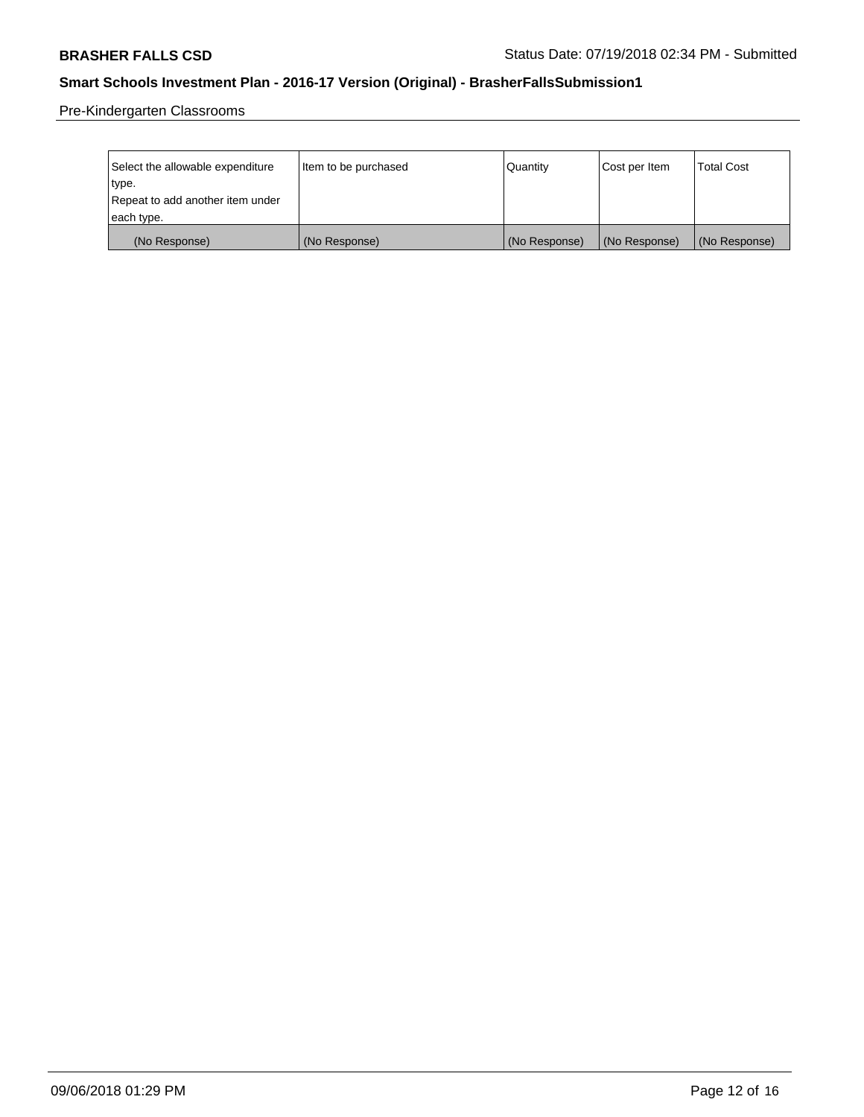Pre-Kindergarten Classrooms

| Select the allowable expenditure<br>type.      | Item to be purchased | Quantity      | Cost per Item | <b>Total Cost</b> |
|------------------------------------------------|----------------------|---------------|---------------|-------------------|
| Repeat to add another item under<br>each type. |                      |               |               |                   |
| (No Response)                                  | (No Response)        | (No Response) | (No Response) | (No Response)     |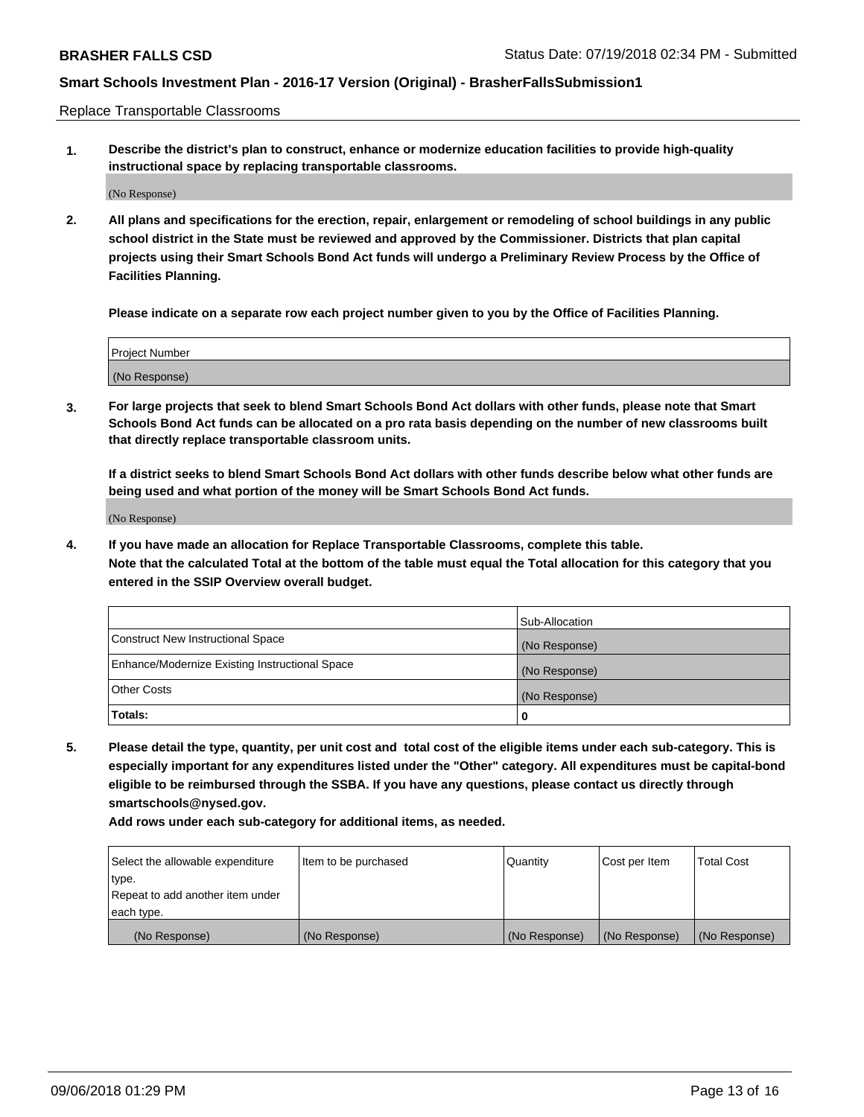Replace Transportable Classrooms

**1. Describe the district's plan to construct, enhance or modernize education facilities to provide high-quality instructional space by replacing transportable classrooms.**

(No Response)

**2. All plans and specifications for the erection, repair, enlargement or remodeling of school buildings in any public school district in the State must be reviewed and approved by the Commissioner. Districts that plan capital projects using their Smart Schools Bond Act funds will undergo a Preliminary Review Process by the Office of Facilities Planning.**

**Please indicate on a separate row each project number given to you by the Office of Facilities Planning.**

| Project Number |               |  |
|----------------|---------------|--|
|                |               |  |
|                |               |  |
|                | (No Response) |  |

**3. For large projects that seek to blend Smart Schools Bond Act dollars with other funds, please note that Smart Schools Bond Act funds can be allocated on a pro rata basis depending on the number of new classrooms built that directly replace transportable classroom units.**

**If a district seeks to blend Smart Schools Bond Act dollars with other funds describe below what other funds are being used and what portion of the money will be Smart Schools Bond Act funds.**

(No Response)

**4. If you have made an allocation for Replace Transportable Classrooms, complete this table. Note that the calculated Total at the bottom of the table must equal the Total allocation for this category that you entered in the SSIP Overview overall budget.**

|                                                | Sub-Allocation |
|------------------------------------------------|----------------|
| Construct New Instructional Space              | (No Response)  |
| Enhance/Modernize Existing Instructional Space | (No Response)  |
| <b>Other Costs</b>                             | (No Response)  |
| Totals:                                        | 0              |

**5. Please detail the type, quantity, per unit cost and total cost of the eligible items under each sub-category. This is especially important for any expenditures listed under the "Other" category. All expenditures must be capital-bond eligible to be reimbursed through the SSBA. If you have any questions, please contact us directly through smartschools@nysed.gov.**

| Select the allowable expenditure | Item to be purchased | l Quantitv    | Cost per Item | <b>Total Cost</b> |
|----------------------------------|----------------------|---------------|---------------|-------------------|
| type.                            |                      |               |               |                   |
| Repeat to add another item under |                      |               |               |                   |
| each type.                       |                      |               |               |                   |
| (No Response)                    | (No Response)        | (No Response) | (No Response) | (No Response)     |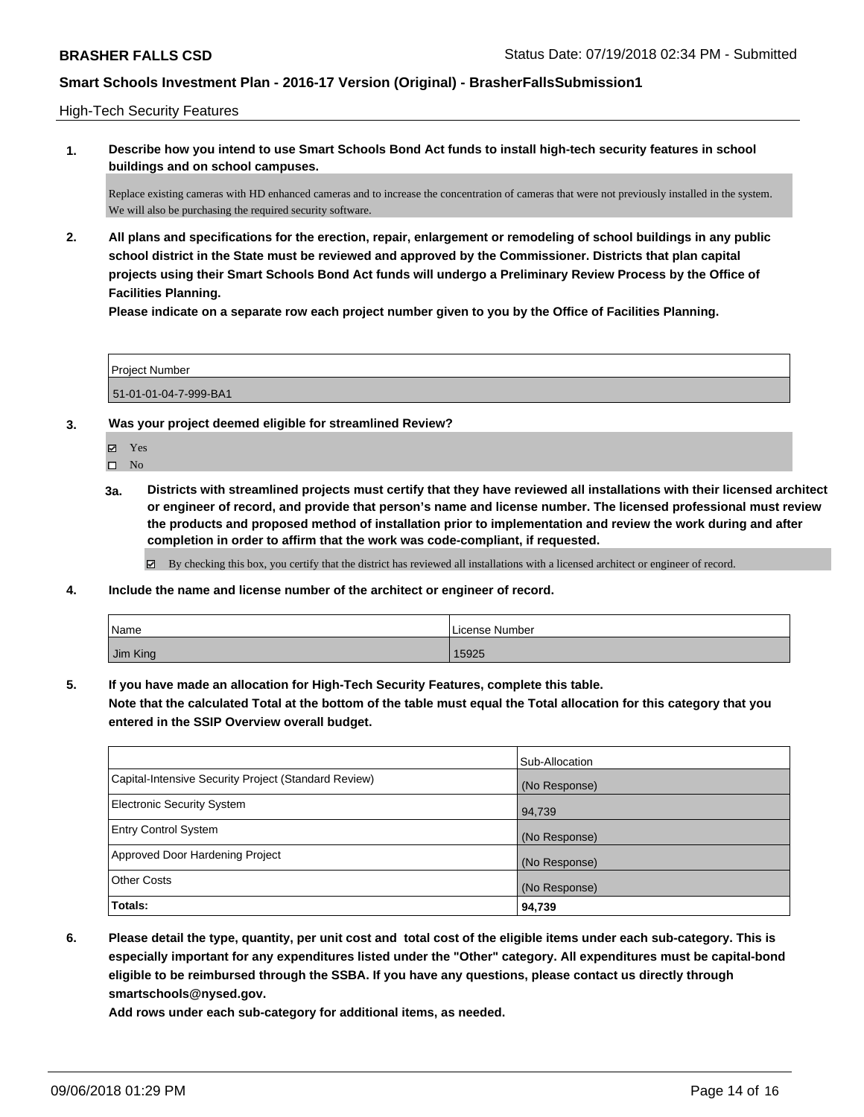High-Tech Security Features

**1. Describe how you intend to use Smart Schools Bond Act funds to install high-tech security features in school buildings and on school campuses.**

Replace existing cameras with HD enhanced cameras and to increase the concentration of cameras that were not previously installed in the system. We will also be purchasing the required security software.

**2. All plans and specifications for the erection, repair, enlargement or remodeling of school buildings in any public school district in the State must be reviewed and approved by the Commissioner. Districts that plan capital projects using their Smart Schools Bond Act funds will undergo a Preliminary Review Process by the Office of Facilities Planning.** 

**Please indicate on a separate row each project number given to you by the Office of Facilities Planning.**

| <b>Project Number</b> |  |
|-----------------------|--|
| 51-01-01-04-7-999-BA1 |  |

- **3. Was your project deemed eligible for streamlined Review?**
	- Yes

 $\square$  No

**3a. Districts with streamlined projects must certify that they have reviewed all installations with their licensed architect or engineer of record, and provide that person's name and license number. The licensed professional must review the products and proposed method of installation prior to implementation and review the work during and after completion in order to affirm that the work was code-compliant, if requested.**

By checking this box, you certify that the district has reviewed all installations with a licensed architect or engineer of record.

**4. Include the name and license number of the architect or engineer of record.**

| Name     | License Number |
|----------|----------------|
| Jim King | 15925          |

**5. If you have made an allocation for High-Tech Security Features, complete this table. Note that the calculated Total at the bottom of the table must equal the Total allocation for this category that you entered in the SSIP Overview overall budget.**

|                                                      | Sub-Allocation |
|------------------------------------------------------|----------------|
| Capital-Intensive Security Project (Standard Review) | (No Response)  |
| Electronic Security System                           | 94,739         |
| <b>Entry Control System</b>                          | (No Response)  |
| Approved Door Hardening Project                      | (No Response)  |
| <b>Other Costs</b>                                   | (No Response)  |
| Totals:                                              | 94,739         |

**6. Please detail the type, quantity, per unit cost and total cost of the eligible items under each sub-category. This is especially important for any expenditures listed under the "Other" category. All expenditures must be capital-bond eligible to be reimbursed through the SSBA. If you have any questions, please contact us directly through smartschools@nysed.gov.**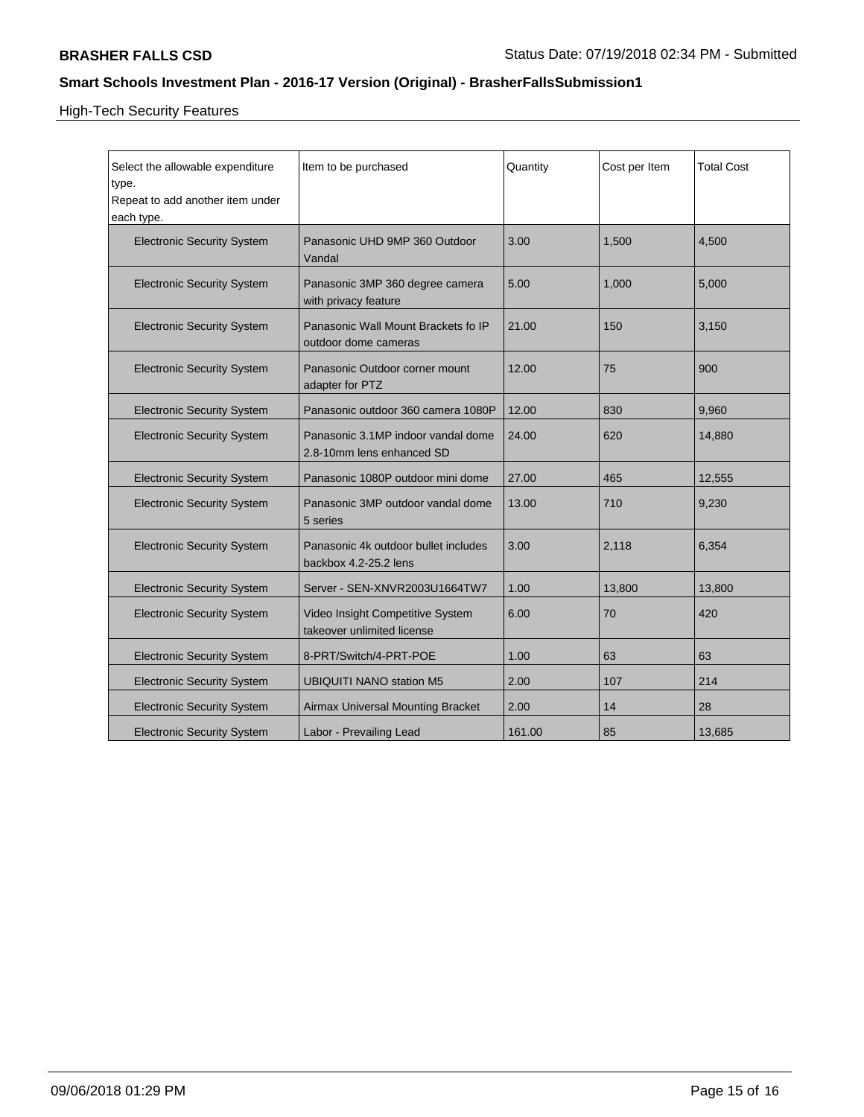High-Tech Security Features

| Select the allowable expenditure<br>type.<br>Repeat to add another item under<br>each type. | Item to be purchased                                            | Quantity | Cost per Item | <b>Total Cost</b> |
|---------------------------------------------------------------------------------------------|-----------------------------------------------------------------|----------|---------------|-------------------|
| <b>Electronic Security System</b>                                                           | Panasonic UHD 9MP 360 Outdoor<br>Vandal                         | 3.00     | 1,500         | 4,500             |
| <b>Electronic Security System</b>                                                           | Panasonic 3MP 360 degree camera<br>with privacy feature         | 5.00     | 1,000         | 5,000             |
| <b>Electronic Security System</b>                                                           | Panasonic Wall Mount Brackets fo IP<br>outdoor dome cameras     | 21.00    | 150           | 3,150             |
| <b>Electronic Security System</b>                                                           | Panasonic Outdoor corner mount<br>adapter for PTZ               | 12.00    | 75            | 900               |
| <b>Electronic Security System</b>                                                           | Panasonic outdoor 360 camera 1080P                              | 12.00    | 830           | 9,960             |
| <b>Electronic Security System</b>                                                           | Panasonic 3.1MP indoor vandal dome<br>2.8-10mm lens enhanced SD | 24.00    | 620           | 14,880            |
| <b>Electronic Security System</b>                                                           | Panasonic 1080P outdoor mini dome                               | 27.00    | 465           | 12,555            |
| <b>Electronic Security System</b>                                                           | Panasonic 3MP outdoor vandal dome<br>5 series                   | 13.00    | 710           | 9,230             |
| <b>Electronic Security System</b>                                                           | Panasonic 4k outdoor bullet includes<br>backbox 4.2-25.2 lens   | 3.00     | 2,118         | 6,354             |
| <b>Electronic Security System</b>                                                           | Server - SEN-XNVR2003U1664TW7                                   | 1.00     | 13,800        | 13,800            |
| <b>Electronic Security System</b>                                                           | Video Insight Competitive System<br>takeover unlimited license  | 6.00     | 70            | 420               |
| <b>Electronic Security System</b>                                                           | 8-PRT/Switch/4-PRT-POE                                          | 1.00     | 63            | 63                |
| <b>Electronic Security System</b>                                                           | <b>UBIQUITI NANO station M5</b>                                 | 2.00     | 107           | 214               |
| <b>Electronic Security System</b>                                                           | Airmax Universal Mounting Bracket                               | 2.00     | 14            | 28                |
| <b>Electronic Security System</b>                                                           | Labor - Prevailing Lead                                         | 161.00   | 85            | 13,685            |